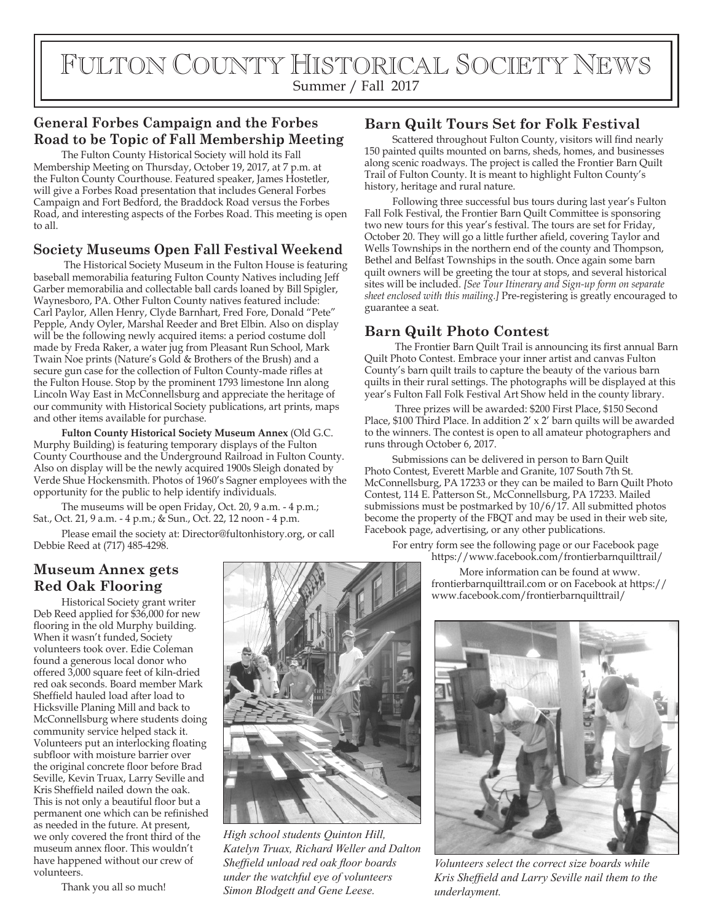# FULTON COUNTY HISTORICAL SOCIETY NEWS Summer / Fall 2017

# **General Forbes Campaign and the Forbes Road to be Topic of Fall Membership Meeting**

The Fulton County Historical Society will hold its Fall Membership Meeting on Thursday, October 19, 2017, at 7 p.m. at the Fulton County Courthouse. Featured speaker, James Hostetler, will give a Forbes Road presentation that includes General Forbes Campaign and Fort Bedford, the Braddock Road versus the Forbes Road, and interesting aspects of the Forbes Road. This meeting is open to all.

# **Society Museums Open Fall Festival Weekend**

 The Historical Society Museum in the Fulton House is featuring baseball memorabilia featuring Fulton County Natives including Jeff Garber memorabilia and collectable ball cards loaned by Bill Spigler, Waynesboro, PA. Other Fulton County natives featured include: Carl Paylor, Allen Henry, Clyde Barnhart, Fred Fore, Donald "Pete" Pepple, Andy Oyler, Marshal Reeder and Bret Elbin. Also on display will be the following newly acquired items: a period costume doll made by Freda Raker, a water jug from Pleasant Run School, Mark Twain Noe prints (Nature's Gold & Brothers of the Brush) and a secure gun case for the collection of Fulton County-made rifles at the Fulton House. Stop by the prominent 1793 limestone Inn along Lincoln Way East in McConnellsburg and appreciate the heritage of our community with Historical Society publications, art prints, maps and other items available for purchase.

**Fulton County Historical Society Museum Annex** (Old G.C. Murphy Building) is featuring temporary displays of the Fulton County Courthouse and the Underground Railroad in Fulton County. Also on display will be the newly acquired 1900s Sleigh donated by Verde Shue Hockensmith. Photos of 1960's Sagner employees with the opportunity for the public to help identify individuals.

The museums will be open Friday, Oct. 20, 9 a.m. - 4 p.m.; Sat., Oct. 21, 9 a.m. - 4 p.m.; & Sun., Oct. 22, 12 noon - 4 p.m.

Please email the society at: Director@fultonhistory.org, or call Debbie Reed at (717) 485-4298.

# **Museum Annex gets Red Oak Flooring**

Historical Society grant writer Deb Reed applied for \$36,000 for new flooring in the old Murphy building. When it wasn't funded, Society volunteers took over. Edie Coleman found a generous local donor who offered 3,000 square feet of kiln-dried red oak seconds. Board member Mark Sheffield hauled load after load to Hicksville Planing Mill and back to McConnellsburg where students doing community service helped stack it. Volunteers put an interlocking floating subfloor with moisture barrier over the original concrete floor before Brad Seville, Kevin Truax, Larry Seville and Kris Sheffield nailed down the oak. This is not only a beautiful floor but a permanent one which can be refinished as needed in the future. At present, we only covered the front third of the museum annex floor. This wouldn't have happened without our crew of volunteers.

Thank you all so much!



*High school students Quinton Hill, Katelyn Truax, Richard Weller and Dalton Sheffield unload red oak floor boards under the watchful eye of volunteers Simon Blodgett and Gene Leese.*

# **Barn Quilt Tours Set for Folk Festival**

Scattered throughout Fulton County, visitors will find nearly 150 painted quilts mounted on barns, sheds, homes, and businesses along scenic roadways. The project is called the Frontier Barn Quilt Trail of Fulton County. It is meant to highlight Fulton County's history, heritage and rural nature.

Following three successful bus tours during last year's Fulton Fall Folk Festival, the Frontier Barn Quilt Committee is sponsoring two new tours for this year's festival. The tours are set for Friday, October 20. They will go a little further afield, covering Taylor and Wells Townships in the northern end of the county and Thompson, Bethel and Belfast Townships in the south. Once again some barn quilt owners will be greeting the tour at stops, and several historical sites will be included. *[See Tour Itinerary and Sign-up form on separate sheet enclosed with this mailing.]* Pre-registering is greatly encouraged to guarantee a seat.

# **Barn Quilt Photo Contest**

 The Frontier Barn Quilt Trail is announcing its first annual Barn Quilt Photo Contest. Embrace your inner artist and canvas Fulton County's barn quilt trails to capture the beauty of the various barn quilts in their rural settings. The photographs will be displayed at this year's Fulton Fall Folk Festival Art Show held in the county library.

 Three prizes will be awarded: \$200 First Place, \$150 Second Place, \$100 Third Place. In addition  $2' \times 2'$  barn quilts will be awarded to the winners. The contest is open to all amateur photographers and runs through October 6, 2017.

Submissions can be delivered in person to Barn Quilt Photo Contest, Everett Marble and Granite, 107 South 7th St. McConnellsburg, PA 17233 or they can be mailed to Barn Quilt Photo Contest, 114 E. Patterson St., McConnellsburg, PA 17233. Mailed submissions must be postmarked by 10/6/17. All submitted photos become the property of the FBQT and may be used in their web site, Facebook page, advertising, or any other publications.

For entry form see the following page or our Facebook page https://www.facebook.com/frontierbarnquilttrail/

> More information can be found at www. frontierbarnquilttrail.com or on Facebook at https:// www.facebook.com/frontierbarnquilttrail/



*Volunteers select the correct size boards while Kris Sheffield and Larry Seville nail them to the underlayment.*